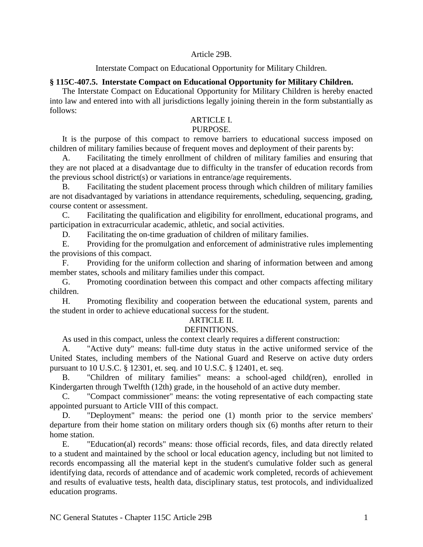#### Article 29B.

#### Interstate Compact on Educational Opportunity for Military Children.

### **§ 115C-407.5. Interstate Compact on Educational Opportunity for Military Children.**

The Interstate Compact on Educational Opportunity for Military Children is hereby enacted into law and entered into with all jurisdictions legally joining therein in the form substantially as follows:

## ARTICLE I.

# PURPOSE.

It is the purpose of this compact to remove barriers to educational success imposed on children of military families because of frequent moves and deployment of their parents by:

A. Facilitating the timely enrollment of children of military families and ensuring that they are not placed at a disadvantage due to difficulty in the transfer of education records from the previous school district(s) or variations in entrance/age requirements.

B. Facilitating the student placement process through which children of military families are not disadvantaged by variations in attendance requirements, scheduling, sequencing, grading, course content or assessment.

C. Facilitating the qualification and eligibility for enrollment, educational programs, and participation in extracurricular academic, athletic, and social activities.

D. Facilitating the on-time graduation of children of military families.

E. Providing for the promulgation and enforcement of administrative rules implementing the provisions of this compact.

F. Providing for the uniform collection and sharing of information between and among member states, schools and military families under this compact.

G. Promoting coordination between this compact and other compacts affecting military children.

H. Promoting flexibility and cooperation between the educational system, parents and the student in order to achieve educational success for the student.

## ARTICLE II.

### DEFINITIONS.

As used in this compact, unless the context clearly requires a different construction:

A. "Active duty" means: full-time duty status in the active uniformed service of the United States, including members of the National Guard and Reserve on active duty orders pursuant to 10 U.S.C. § 12301, et. seq. and 10 U.S.C. § 12401, et. seq.

B. "Children of military families" means: a school-aged child(ren), enrolled in Kindergarten through Twelfth (12th) grade, in the household of an active duty member.

C. "Compact commissioner" means: the voting representative of each compacting state appointed pursuant to Article VIII of this compact.

D. "Deployment" means: the period one (1) month prior to the service members' departure from their home station on military orders though six (6) months after return to their home station.

E. "Education(al) records" means: those official records, files, and data directly related to a student and maintained by the school or local education agency, including but not limited to records encompassing all the material kept in the student's cumulative folder such as general identifying data, records of attendance and of academic work completed, records of achievement and results of evaluative tests, health data, disciplinary status, test protocols, and individualized education programs.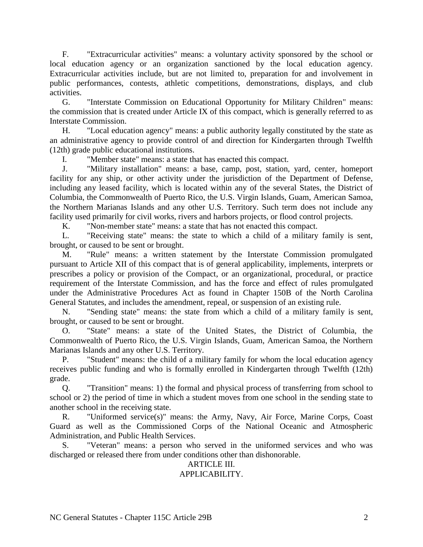F. "Extracurricular activities" means: a voluntary activity sponsored by the school or local education agency or an organization sanctioned by the local education agency. Extracurricular activities include, but are not limited to, preparation for and involvement in public performances, contests, athletic competitions, demonstrations, displays, and club activities.

G. "Interstate Commission on Educational Opportunity for Military Children" means: the commission that is created under Article IX of this compact, which is generally referred to as Interstate Commission.

H. "Local education agency" means: a public authority legally constituted by the state as an administrative agency to provide control of and direction for Kindergarten through Twelfth (12th) grade public educational institutions.

I. "Member state" means: a state that has enacted this compact.

J. "Military installation" means: a base, camp, post, station, yard, center, homeport facility for any ship, or other activity under the jurisdiction of the Department of Defense, including any leased facility, which is located within any of the several States, the District of Columbia, the Commonwealth of Puerto Rico, the U.S. Virgin Islands, Guam, American Samoa, the Northern Marianas Islands and any other U.S. Territory. Such term does not include any facility used primarily for civil works, rivers and harbors projects, or flood control projects.

K. "Non-member state" means: a state that has not enacted this compact.

L. "Receiving state" means: the state to which a child of a military family is sent, brought, or caused to be sent or brought.

M. "Rule" means: a written statement by the Interstate Commission promulgated pursuant to Article XII of this compact that is of general applicability, implements, interprets or prescribes a policy or provision of the Compact, or an organizational, procedural, or practice requirement of the Interstate Commission, and has the force and effect of rules promulgated under the Administrative Procedures Act as found in Chapter 150B of the North Carolina General Statutes, and includes the amendment, repeal, or suspension of an existing rule.

N. "Sending state" means: the state from which a child of a military family is sent, brought, or caused to be sent or brought.

O. "State" means: a state of the United States, the District of Columbia, the Commonwealth of Puerto Rico, the U.S. Virgin Islands, Guam, American Samoa, the Northern Marianas Islands and any other U.S. Territory.

P. "Student" means: the child of a military family for whom the local education agency receives public funding and who is formally enrolled in Kindergarten through Twelfth (12th) grade.

Q. "Transition" means: 1) the formal and physical process of transferring from school to school or 2) the period of time in which a student moves from one school in the sending state to another school in the receiving state.

R. "Uniformed service(s)" means: the Army, Navy, Air Force, Marine Corps, Coast Guard as well as the Commissioned Corps of the National Oceanic and Atmospheric Administration, and Public Health Services.

S. "Veteran" means: a person who served in the uniformed services and who was discharged or released there from under conditions other than dishonorable.

# ARTICLE III.

# APPLICABILITY.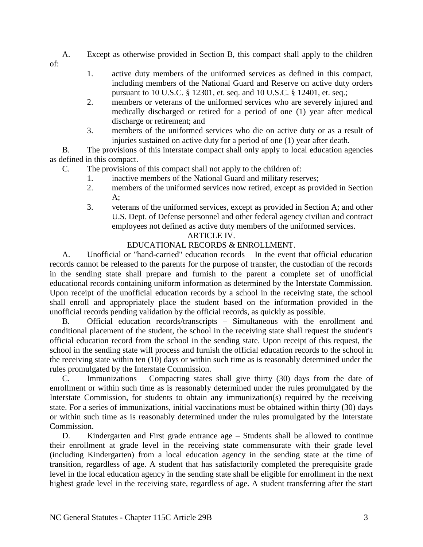A. Except as otherwise provided in Section B, this compact shall apply to the children

of:

- 1. active duty members of the uniformed services as defined in this compact, including members of the National Guard and Reserve on active duty orders pursuant to 10 U.S.C. § 12301, et. seq. and 10 U.S.C. § 12401, et. seq.;
- 2. members or veterans of the uniformed services who are severely injured and medically discharged or retired for a period of one (1) year after medical discharge or retirement; and
- 3. members of the uniformed services who die on active duty or as a result of injuries sustained on active duty for a period of one (1) year after death.

B. The provisions of this interstate compact shall only apply to local education agencies as defined in this compact.

- C. The provisions of this compact shall not apply to the children of:
	- 1. inactive members of the National Guard and military reserves;
	- 2. members of the uniformed services now retired, except as provided in Section  $A$ :
	- 3. veterans of the uniformed services, except as provided in Section A; and other U.S. Dept. of Defense personnel and other federal agency civilian and contract employees not defined as active duty members of the uniformed services.

## ARTICLE IV.

# EDUCATIONAL RECORDS & ENROLLMENT.

A. Unofficial or "hand-carried" education records – In the event that official education records cannot be released to the parents for the purpose of transfer, the custodian of the records in the sending state shall prepare and furnish to the parent a complete set of unofficial educational records containing uniform information as determined by the Interstate Commission. Upon receipt of the unofficial education records by a school in the receiving state, the school shall enroll and appropriately place the student based on the information provided in the unofficial records pending validation by the official records, as quickly as possible.

B. Official education records/transcripts – Simultaneous with the enrollment and conditional placement of the student, the school in the receiving state shall request the student's official education record from the school in the sending state. Upon receipt of this request, the school in the sending state will process and furnish the official education records to the school in the receiving state within ten (10) days or within such time as is reasonably determined under the rules promulgated by the Interstate Commission.

C. Immunizations – Compacting states shall give thirty (30) days from the date of enrollment or within such time as is reasonably determined under the rules promulgated by the Interstate Commission, for students to obtain any immunization(s) required by the receiving state. For a series of immunizations, initial vaccinations must be obtained within thirty (30) days or within such time as is reasonably determined under the rules promulgated by the Interstate Commission.

D. Kindergarten and First grade entrance age – Students shall be allowed to continue their enrollment at grade level in the receiving state commensurate with their grade level (including Kindergarten) from a local education agency in the sending state at the time of transition, regardless of age. A student that has satisfactorily completed the prerequisite grade level in the local education agency in the sending state shall be eligible for enrollment in the next highest grade level in the receiving state, regardless of age. A student transferring after the start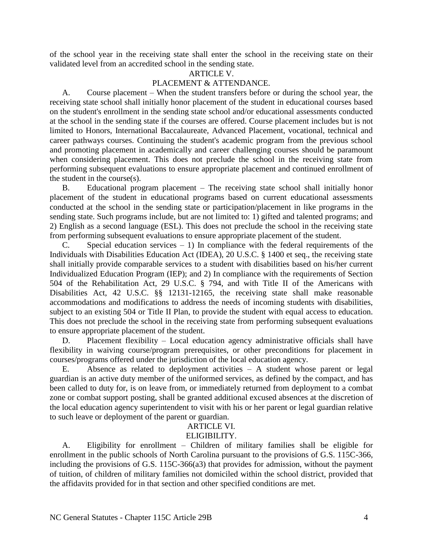of the school year in the receiving state shall enter the school in the receiving state on their validated level from an accredited school in the sending state.

#### ARTICLE V.

#### PLACEMENT & ATTENDANCE.

A. Course placement – When the student transfers before or during the school year, the receiving state school shall initially honor placement of the student in educational courses based on the student's enrollment in the sending state school and/or educational assessments conducted at the school in the sending state if the courses are offered. Course placement includes but is not limited to Honors, International Baccalaureate, Advanced Placement, vocational, technical and career pathways courses. Continuing the student's academic program from the previous school and promoting placement in academically and career challenging courses should be paramount when considering placement. This does not preclude the school in the receiving state from performing subsequent evaluations to ensure appropriate placement and continued enrollment of the student in the course(s).

B. Educational program placement – The receiving state school shall initially honor placement of the student in educational programs based on current educational assessments conducted at the school in the sending state or participation/placement in like programs in the sending state. Such programs include, but are not limited to: 1) gifted and talented programs; and 2) English as a second language (ESL). This does not preclude the school in the receiving state from performing subsequent evaluations to ensure appropriate placement of the student.

C. Special education services  $-1$ ) In compliance with the federal requirements of the Individuals with Disabilities Education Act (IDEA), 20 U.S.C. § 1400 et seq., the receiving state shall initially provide comparable services to a student with disabilities based on his/her current Individualized Education Program (IEP); and 2) In compliance with the requirements of Section 504 of the Rehabilitation Act, 29 U.S.C. § 794, and with Title II of the Americans with Disabilities Act, 42 U.S.C. §§ 12131-12165, the receiving state shall make reasonable accommodations and modifications to address the needs of incoming students with disabilities, subject to an existing 504 or Title II Plan, to provide the student with equal access to education. This does not preclude the school in the receiving state from performing subsequent evaluations to ensure appropriate placement of the student.

D. Placement flexibility – Local education agency administrative officials shall have flexibility in waiving course/program prerequisites, or other preconditions for placement in courses/programs offered under the jurisdiction of the local education agency.

E. Absence as related to deployment activities – A student whose parent or legal guardian is an active duty member of the uniformed services, as defined by the compact, and has been called to duty for, is on leave from, or immediately returned from deployment to a combat zone or combat support posting, shall be granted additional excused absences at the discretion of the local education agency superintendent to visit with his or her parent or legal guardian relative to such leave or deployment of the parent or guardian.

#### ARTICLE VI.

### ELIGIBILITY.

A. Eligibility for enrollment – Children of military families shall be eligible for enrollment in the public schools of North Carolina pursuant to the provisions of G.S. 115C-366, including the provisions of G.S. 115C-366(a3) that provides for admission, without the payment of tuition, of children of military families not domiciled within the school district, provided that the affidavits provided for in that section and other specified conditions are met.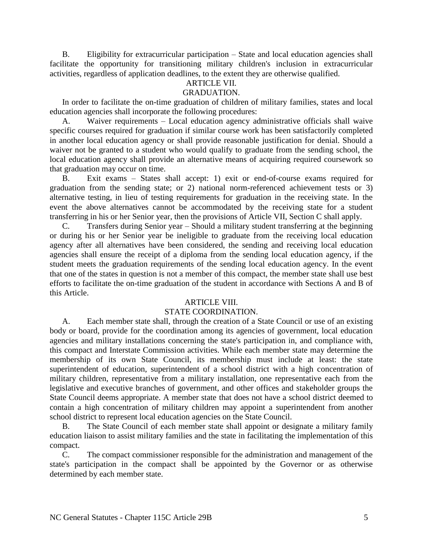B. Eligibility for extracurricular participation – State and local education agencies shall facilitate the opportunity for transitioning military children's inclusion in extracurricular activities, regardless of application deadlines, to the extent they are otherwise qualified.

# ARTICLE VII.

## GRADUATION.

In order to facilitate the on-time graduation of children of military families, states and local education agencies shall incorporate the following procedures:

A. Waiver requirements – Local education agency administrative officials shall waive specific courses required for graduation if similar course work has been satisfactorily completed in another local education agency or shall provide reasonable justification for denial. Should a waiver not be granted to a student who would qualify to graduate from the sending school, the local education agency shall provide an alternative means of acquiring required coursework so that graduation may occur on time.

B. Exit exams – States shall accept: 1) exit or end-of-course exams required for graduation from the sending state; or 2) national norm-referenced achievement tests or 3) alternative testing, in lieu of testing requirements for graduation in the receiving state. In the event the above alternatives cannot be accommodated by the receiving state for a student transferring in his or her Senior year, then the provisions of Article VII, Section C shall apply.

C. Transfers during Senior year – Should a military student transferring at the beginning or during his or her Senior year be ineligible to graduate from the receiving local education agency after all alternatives have been considered, the sending and receiving local education agencies shall ensure the receipt of a diploma from the sending local education agency, if the student meets the graduation requirements of the sending local education agency. In the event that one of the states in question is not a member of this compact, the member state shall use best efforts to facilitate the on-time graduation of the student in accordance with Sections A and B of this Article.

#### ARTICLE VIII.

### STATE COORDINATION.

A. Each member state shall, through the creation of a State Council or use of an existing body or board, provide for the coordination among its agencies of government, local education agencies and military installations concerning the state's participation in, and compliance with, this compact and Interstate Commission activities. While each member state may determine the membership of its own State Council, its membership must include at least: the state superintendent of education, superintendent of a school district with a high concentration of military children, representative from a military installation, one representative each from the legislative and executive branches of government, and other offices and stakeholder groups the State Council deems appropriate. A member state that does not have a school district deemed to contain a high concentration of military children may appoint a superintendent from another school district to represent local education agencies on the State Council.

B. The State Council of each member state shall appoint or designate a military family education liaison to assist military families and the state in facilitating the implementation of this compact.

C. The compact commissioner responsible for the administration and management of the state's participation in the compact shall be appointed by the Governor or as otherwise determined by each member state.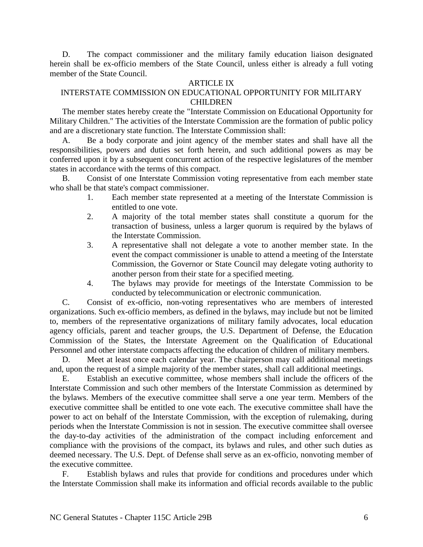D. The compact commissioner and the military family education liaison designated herein shall be ex-officio members of the State Council, unless either is already a full voting member of the State Council.

#### ARTICLE IX

## INTERSTATE COMMISSION ON EDUCATIONAL OPPORTUNITY FOR MILITARY **CHILDREN**

The member states hereby create the "Interstate Commission on Educational Opportunity for Military Children." The activities of the Interstate Commission are the formation of public policy and are a discretionary state function. The Interstate Commission shall:

A. Be a body corporate and joint agency of the member states and shall have all the responsibilities, powers and duties set forth herein, and such additional powers as may be conferred upon it by a subsequent concurrent action of the respective legislatures of the member states in accordance with the terms of this compact.

B. Consist of one Interstate Commission voting representative from each member state who shall be that state's compact commissioner.

- 1. Each member state represented at a meeting of the Interstate Commission is entitled to one vote.
- 2. A majority of the total member states shall constitute a quorum for the transaction of business, unless a larger quorum is required by the bylaws of the Interstate Commission.
- 3. A representative shall not delegate a vote to another member state. In the event the compact commissioner is unable to attend a meeting of the Interstate Commission, the Governor or State Council may delegate voting authority to another person from their state for a specified meeting.
- 4. The bylaws may provide for meetings of the Interstate Commission to be conducted by telecommunication or electronic communication.

C. Consist of ex-officio, non-voting representatives who are members of interested organizations. Such ex-officio members, as defined in the bylaws, may include but not be limited to, members of the representative organizations of military family advocates, local education agency officials, parent and teacher groups, the U.S. Department of Defense, the Education Commission of the States, the Interstate Agreement on the Qualification of Educational Personnel and other interstate compacts affecting the education of children of military members.

D. Meet at least once each calendar year. The chairperson may call additional meetings and, upon the request of a simple majority of the member states, shall call additional meetings.

E. Establish an executive committee, whose members shall include the officers of the Interstate Commission and such other members of the Interstate Commission as determined by the bylaws. Members of the executive committee shall serve a one year term. Members of the executive committee shall be entitled to one vote each. The executive committee shall have the power to act on behalf of the Interstate Commission, with the exception of rulemaking, during periods when the Interstate Commission is not in session. The executive committee shall oversee the day-to-day activities of the administration of the compact including enforcement and compliance with the provisions of the compact, its bylaws and rules, and other such duties as deemed necessary. The U.S. Dept. of Defense shall serve as an ex-officio, nonvoting member of the executive committee.

F. Establish bylaws and rules that provide for conditions and procedures under which the Interstate Commission shall make its information and official records available to the public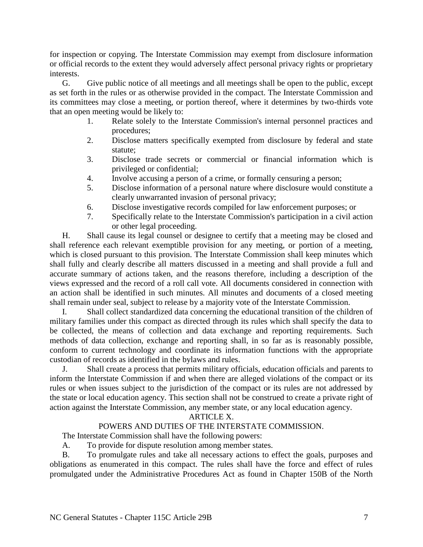for inspection or copying. The Interstate Commission may exempt from disclosure information or official records to the extent they would adversely affect personal privacy rights or proprietary interests.

G. Give public notice of all meetings and all meetings shall be open to the public, except as set forth in the rules or as otherwise provided in the compact. The Interstate Commission and its committees may close a meeting, or portion thereof, where it determines by two-thirds vote that an open meeting would be likely to:

- 1. Relate solely to the Interstate Commission's internal personnel practices and procedures;
- 2. Disclose matters specifically exempted from disclosure by federal and state statute;
- 3. Disclose trade secrets or commercial or financial information which is privileged or confidential;
- 4. Involve accusing a person of a crime, or formally censuring a person;
- 5. Disclose information of a personal nature where disclosure would constitute a clearly unwarranted invasion of personal privacy;
- 6. Disclose investigative records compiled for law enforcement purposes; or
- 7. Specifically relate to the Interstate Commission's participation in a civil action or other legal proceeding.

H. Shall cause its legal counsel or designee to certify that a meeting may be closed and shall reference each relevant exemptible provision for any meeting, or portion of a meeting, which is closed pursuant to this provision. The Interstate Commission shall keep minutes which shall fully and clearly describe all matters discussed in a meeting and shall provide a full and accurate summary of actions taken, and the reasons therefore, including a description of the views expressed and the record of a roll call vote. All documents considered in connection with an action shall be identified in such minutes. All minutes and documents of a closed meeting shall remain under seal, subject to release by a majority vote of the Interstate Commission.

I. Shall collect standardized data concerning the educational transition of the children of military families under this compact as directed through its rules which shall specify the data to be collected, the means of collection and data exchange and reporting requirements. Such methods of data collection, exchange and reporting shall, in so far as is reasonably possible, conform to current technology and coordinate its information functions with the appropriate custodian of records as identified in the bylaws and rules.

J. Shall create a process that permits military officials, education officials and parents to inform the Interstate Commission if and when there are alleged violations of the compact or its rules or when issues subject to the jurisdiction of the compact or its rules are not addressed by the state or local education agency. This section shall not be construed to create a private right of action against the Interstate Commission, any member state, or any local education agency.

## ARTICLE X.

## POWERS AND DUTIES OF THE INTERSTATE COMMISSION.

The Interstate Commission shall have the following powers:

A. To provide for dispute resolution among member states.

B. To promulgate rules and take all necessary actions to effect the goals, purposes and obligations as enumerated in this compact. The rules shall have the force and effect of rules promulgated under the Administrative Procedures Act as found in Chapter 150B of the North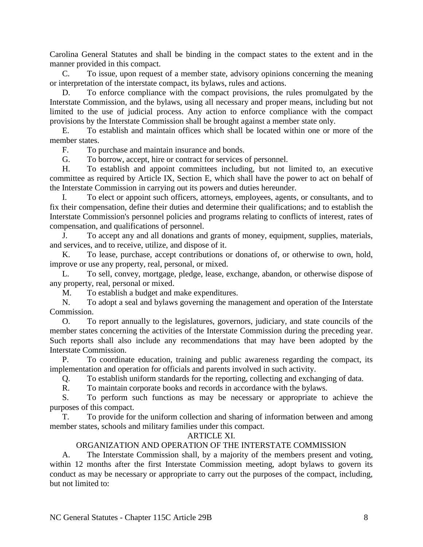Carolina General Statutes and shall be binding in the compact states to the extent and in the manner provided in this compact.

C. To issue, upon request of a member state, advisory opinions concerning the meaning or interpretation of the interstate compact, its bylaws, rules and actions.

D. To enforce compliance with the compact provisions, the rules promulgated by the Interstate Commission, and the bylaws, using all necessary and proper means, including but not limited to the use of judicial process. Any action to enforce compliance with the compact provisions by the Interstate Commission shall be brought against a member state only.

E. To establish and maintain offices which shall be located within one or more of the member states.

F. To purchase and maintain insurance and bonds.

G. To borrow, accept, hire or contract for services of personnel.

H. To establish and appoint committees including, but not limited to, an executive committee as required by Article IX, Section E, which shall have the power to act on behalf of the Interstate Commission in carrying out its powers and duties hereunder.

I. To elect or appoint such officers, attorneys, employees, agents, or consultants, and to fix their compensation, define their duties and determine their qualifications; and to establish the Interstate Commission's personnel policies and programs relating to conflicts of interest, rates of compensation, and qualifications of personnel.

J. To accept any and all donations and grants of money, equipment, supplies, materials, and services, and to receive, utilize, and dispose of it.

K. To lease, purchase, accept contributions or donations of, or otherwise to own, hold, improve or use any property, real, personal, or mixed.

L. To sell, convey, mortgage, pledge, lease, exchange, abandon, or otherwise dispose of any property, real, personal or mixed.

M. To establish a budget and make expenditures.

N. To adopt a seal and bylaws governing the management and operation of the Interstate Commission.

O. To report annually to the legislatures, governors, judiciary, and state councils of the member states concerning the activities of the Interstate Commission during the preceding year. Such reports shall also include any recommendations that may have been adopted by the Interstate Commission.

P. To coordinate education, training and public awareness regarding the compact, its implementation and operation for officials and parents involved in such activity.

Q. To establish uniform standards for the reporting, collecting and exchanging of data.

R. To maintain corporate books and records in accordance with the bylaws.

S. To perform such functions as may be necessary or appropriate to achieve the purposes of this compact.

T. To provide for the uniform collection and sharing of information between and among member states, schools and military families under this compact.

### ARTICLE XI.

### ORGANIZATION AND OPERATION OF THE INTERSTATE COMMISSION

A. The Interstate Commission shall, by a majority of the members present and voting, within 12 months after the first Interstate Commission meeting, adopt bylaws to govern its conduct as may be necessary or appropriate to carry out the purposes of the compact, including, but not limited to: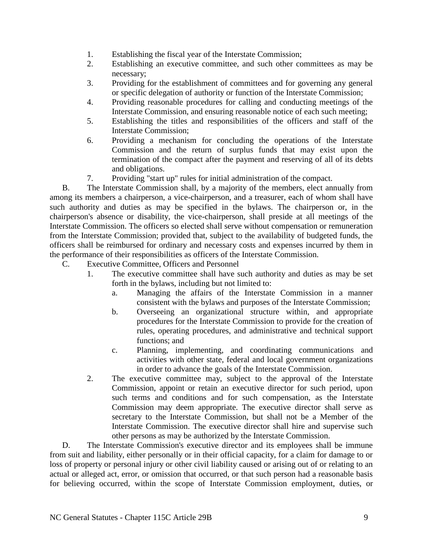- 1. Establishing the fiscal year of the Interstate Commission;
- 2. Establishing an executive committee, and such other committees as may be necessary;
- 3. Providing for the establishment of committees and for governing any general or specific delegation of authority or function of the Interstate Commission;
- 4. Providing reasonable procedures for calling and conducting meetings of the Interstate Commission, and ensuring reasonable notice of each such meeting;
- 5. Establishing the titles and responsibilities of the officers and staff of the Interstate Commission;
- 6. Providing a mechanism for concluding the operations of the Interstate Commission and the return of surplus funds that may exist upon the termination of the compact after the payment and reserving of all of its debts and obligations.
- 7. Providing "start up" rules for initial administration of the compact.

B. The Interstate Commission shall, by a majority of the members, elect annually from among its members a chairperson, a vice-chairperson, and a treasurer, each of whom shall have such authority and duties as may be specified in the bylaws. The chairperson or, in the chairperson's absence or disability, the vice-chairperson, shall preside at all meetings of the Interstate Commission. The officers so elected shall serve without compensation or remuneration from the Interstate Commission; provided that, subject to the availability of budgeted funds, the officers shall be reimbursed for ordinary and necessary costs and expenses incurred by them in the performance of their responsibilities as officers of the Interstate Commission.

- C. Executive Committee, Officers and Personnel
	- 1. The executive committee shall have such authority and duties as may be set forth in the bylaws, including but not limited to:
		- a. Managing the affairs of the Interstate Commission in a manner consistent with the bylaws and purposes of the Interstate Commission;
		- b. Overseeing an organizational structure within, and appropriate procedures for the Interstate Commission to provide for the creation of rules, operating procedures, and administrative and technical support functions; and
		- c. Planning, implementing, and coordinating communications and activities with other state, federal and local government organizations in order to advance the goals of the Interstate Commission.
	- 2. The executive committee may, subject to the approval of the Interstate Commission, appoint or retain an executive director for such period, upon such terms and conditions and for such compensation, as the Interstate Commission may deem appropriate. The executive director shall serve as secretary to the Interstate Commission, but shall not be a Member of the Interstate Commission. The executive director shall hire and supervise such other persons as may be authorized by the Interstate Commission.

D. The Interstate Commission's executive director and its employees shall be immune from suit and liability, either personally or in their official capacity, for a claim for damage to or loss of property or personal injury or other civil liability caused or arising out of or relating to an actual or alleged act, error, or omission that occurred, or that such person had a reasonable basis for believing occurred, within the scope of Interstate Commission employment, duties, or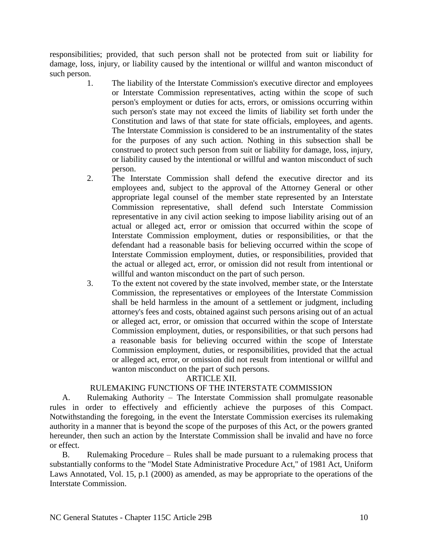responsibilities; provided, that such person shall not be protected from suit or liability for damage, loss, injury, or liability caused by the intentional or willful and wanton misconduct of such person.

- 1. The liability of the Interstate Commission's executive director and employees or Interstate Commission representatives, acting within the scope of such person's employment or duties for acts, errors, or omissions occurring within such person's state may not exceed the limits of liability set forth under the Constitution and laws of that state for state officials, employees, and agents. The Interstate Commission is considered to be an instrumentality of the states for the purposes of any such action. Nothing in this subsection shall be construed to protect such person from suit or liability for damage, loss, injury, or liability caused by the intentional or willful and wanton misconduct of such person.
- 2. The Interstate Commission shall defend the executive director and its employees and, subject to the approval of the Attorney General or other appropriate legal counsel of the member state represented by an Interstate Commission representative, shall defend such Interstate Commission representative in any civil action seeking to impose liability arising out of an actual or alleged act, error or omission that occurred within the scope of Interstate Commission employment, duties or responsibilities, or that the defendant had a reasonable basis for believing occurred within the scope of Interstate Commission employment, duties, or responsibilities, provided that the actual or alleged act, error, or omission did not result from intentional or willful and wanton misconduct on the part of such person.
- 3. To the extent not covered by the state involved, member state, or the Interstate Commission, the representatives or employees of the Interstate Commission shall be held harmless in the amount of a settlement or judgment, including attorney's fees and costs, obtained against such persons arising out of an actual or alleged act, error, or omission that occurred within the scope of Interstate Commission employment, duties, or responsibilities, or that such persons had a reasonable basis for believing occurred within the scope of Interstate Commission employment, duties, or responsibilities, provided that the actual or alleged act, error, or omission did not result from intentional or willful and wanton misconduct on the part of such persons.

### ARTICLE XII.

## RULEMAKING FUNCTIONS OF THE INTERSTATE COMMISSION

A. Rulemaking Authority – The Interstate Commission shall promulgate reasonable rules in order to effectively and efficiently achieve the purposes of this Compact. Notwithstanding the foregoing, in the event the Interstate Commission exercises its rulemaking authority in a manner that is beyond the scope of the purposes of this Act, or the powers granted hereunder, then such an action by the Interstate Commission shall be invalid and have no force or effect.

B. Rulemaking Procedure – Rules shall be made pursuant to a rulemaking process that substantially conforms to the "Model State Administrative Procedure Act," of 1981 Act, Uniform Laws Annotated, Vol. 15, p.1 (2000) as amended, as may be appropriate to the operations of the Interstate Commission.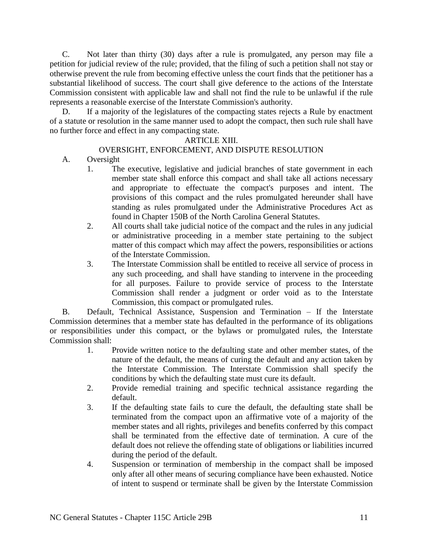C. Not later than thirty (30) days after a rule is promulgated, any person may file a petition for judicial review of the rule; provided, that the filing of such a petition shall not stay or otherwise prevent the rule from becoming effective unless the court finds that the petitioner has a substantial likelihood of success. The court shall give deference to the actions of the Interstate Commission consistent with applicable law and shall not find the rule to be unlawful if the rule represents a reasonable exercise of the Interstate Commission's authority.

D. If a majority of the legislatures of the compacting states rejects a Rule by enactment of a statute or resolution in the same manner used to adopt the compact, then such rule shall have no further force and effect in any compacting state.

### ARTICLE XIII.

### OVERSIGHT, ENFORCEMENT, AND DISPUTE RESOLUTION

- A. Oversight
	- 1. The executive, legislative and judicial branches of state government in each member state shall enforce this compact and shall take all actions necessary and appropriate to effectuate the compact's purposes and intent. The provisions of this compact and the rules promulgated hereunder shall have standing as rules promulgated under the Administrative Procedures Act as found in Chapter 150B of the North Carolina General Statutes.
	- 2. All courts shall take judicial notice of the compact and the rules in any judicial or administrative proceeding in a member state pertaining to the subject matter of this compact which may affect the powers, responsibilities or actions of the Interstate Commission.
	- 3. The Interstate Commission shall be entitled to receive all service of process in any such proceeding, and shall have standing to intervene in the proceeding for all purposes. Failure to provide service of process to the Interstate Commission shall render a judgment or order void as to the Interstate Commission, this compact or promulgated rules.

B. Default, Technical Assistance, Suspension and Termination – If the Interstate Commission determines that a member state has defaulted in the performance of its obligations or responsibilities under this compact, or the bylaws or promulgated rules, the Interstate Commission shall:

- 1. Provide written notice to the defaulting state and other member states, of the nature of the default, the means of curing the default and any action taken by the Interstate Commission. The Interstate Commission shall specify the conditions by which the defaulting state must cure its default.
- 2. Provide remedial training and specific technical assistance regarding the default.
- 3. If the defaulting state fails to cure the default, the defaulting state shall be terminated from the compact upon an affirmative vote of a majority of the member states and all rights, privileges and benefits conferred by this compact shall be terminated from the effective date of termination. A cure of the default does not relieve the offending state of obligations or liabilities incurred during the period of the default.
- 4. Suspension or termination of membership in the compact shall be imposed only after all other means of securing compliance have been exhausted. Notice of intent to suspend or terminate shall be given by the Interstate Commission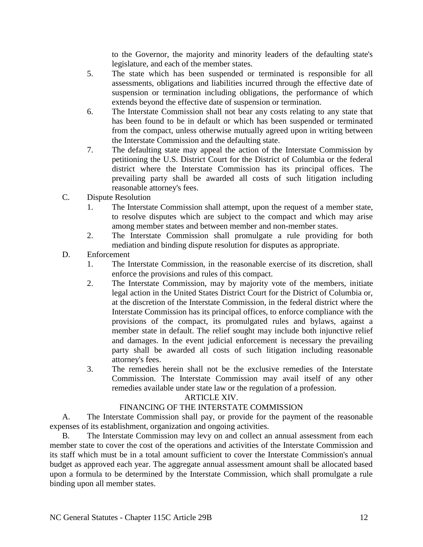to the Governor, the majority and minority leaders of the defaulting state's legislature, and each of the member states.

- 5. The state which has been suspended or terminated is responsible for all assessments, obligations and liabilities incurred through the effective date of suspension or termination including obligations, the performance of which extends beyond the effective date of suspension or termination.
- 6. The Interstate Commission shall not bear any costs relating to any state that has been found to be in default or which has been suspended or terminated from the compact, unless otherwise mutually agreed upon in writing between the Interstate Commission and the defaulting state.
- 7. The defaulting state may appeal the action of the Interstate Commission by petitioning the U.S. District Court for the District of Columbia or the federal district where the Interstate Commission has its principal offices. The prevailing party shall be awarded all costs of such litigation including reasonable attorney's fees.
- C. Dispute Resolution
	- 1. The Interstate Commission shall attempt, upon the request of a member state, to resolve disputes which are subject to the compact and which may arise among member states and between member and non-member states.
	- 2. The Interstate Commission shall promulgate a rule providing for both mediation and binding dispute resolution for disputes as appropriate.
- D. Enforcement
	- 1. The Interstate Commission, in the reasonable exercise of its discretion, shall enforce the provisions and rules of this compact.
	- 2. The Interstate Commission, may by majority vote of the members, initiate legal action in the United States District Court for the District of Columbia or, at the discretion of the Interstate Commission, in the federal district where the Interstate Commission has its principal offices, to enforce compliance with the provisions of the compact, its promulgated rules and bylaws, against a member state in default. The relief sought may include both injunctive relief and damages. In the event judicial enforcement is necessary the prevailing party shall be awarded all costs of such litigation including reasonable attorney's fees.
	- 3. The remedies herein shall not be the exclusive remedies of the Interstate Commission. The Interstate Commission may avail itself of any other remedies available under state law or the regulation of a profession.

## ARTICLE XIV.

## FINANCING OF THE INTERSTATE COMMISSION

A. The Interstate Commission shall pay, or provide for the payment of the reasonable expenses of its establishment, organization and ongoing activities.

B. The Interstate Commission may levy on and collect an annual assessment from each member state to cover the cost of the operations and activities of the Interstate Commission and its staff which must be in a total amount sufficient to cover the Interstate Commission's annual budget as approved each year. The aggregate annual assessment amount shall be allocated based upon a formula to be determined by the Interstate Commission, which shall promulgate a rule binding upon all member states.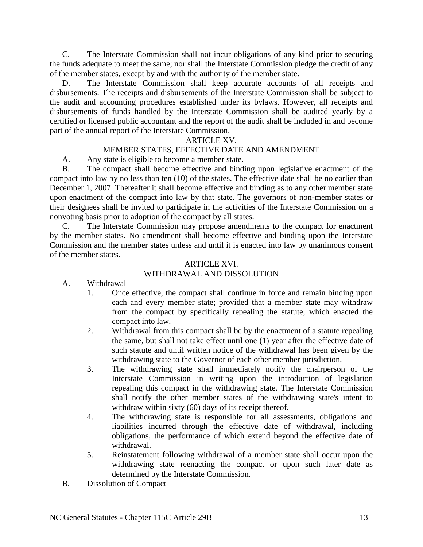C. The Interstate Commission shall not incur obligations of any kind prior to securing the funds adequate to meet the same; nor shall the Interstate Commission pledge the credit of any of the member states, except by and with the authority of the member state.

D. The Interstate Commission shall keep accurate accounts of all receipts and disbursements. The receipts and disbursements of the Interstate Commission shall be subject to the audit and accounting procedures established under its bylaws. However, all receipts and disbursements of funds handled by the Interstate Commission shall be audited yearly by a certified or licensed public accountant and the report of the audit shall be included in and become part of the annual report of the Interstate Commission.

## ARTICLE XV.

# MEMBER STATES, EFFECTIVE DATE AND AMENDMENT

A. Any state is eligible to become a member state.

B. The compact shall become effective and binding upon legislative enactment of the compact into law by no less than ten (10) of the states. The effective date shall be no earlier than December 1, 2007. Thereafter it shall become effective and binding as to any other member state upon enactment of the compact into law by that state. The governors of non-member states or their designees shall be invited to participate in the activities of the Interstate Commission on a nonvoting basis prior to adoption of the compact by all states.

C. The Interstate Commission may propose amendments to the compact for enactment by the member states. No amendment shall become effective and binding upon the Interstate Commission and the member states unless and until it is enacted into law by unanimous consent of the member states.

#### ARTICLE XVI. WITHDRAWAL AND DISSOLUTION

- A. Withdrawal
	- 1. Once effective, the compact shall continue in force and remain binding upon each and every member state; provided that a member state may withdraw from the compact by specifically repealing the statute, which enacted the compact into law.
	- 2. Withdrawal from this compact shall be by the enactment of a statute repealing the same, but shall not take effect until one (1) year after the effective date of such statute and until written notice of the withdrawal has been given by the withdrawing state to the Governor of each other member jurisdiction.
	- 3. The withdrawing state shall immediately notify the chairperson of the Interstate Commission in writing upon the introduction of legislation repealing this compact in the withdrawing state. The Interstate Commission shall notify the other member states of the withdrawing state's intent to withdraw within sixty (60) days of its receipt thereof.
	- 4. The withdrawing state is responsible for all assessments, obligations and liabilities incurred through the effective date of withdrawal, including obligations, the performance of which extend beyond the effective date of withdrawal.
	- 5. Reinstatement following withdrawal of a member state shall occur upon the withdrawing state reenacting the compact or upon such later date as determined by the Interstate Commission.
- B. Dissolution of Compact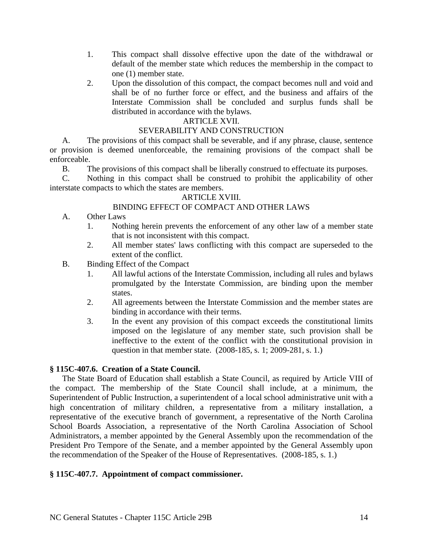- 1. This compact shall dissolve effective upon the date of the withdrawal or default of the member state which reduces the membership in the compact to one (1) member state.
- 2. Upon the dissolution of this compact, the compact becomes null and void and shall be of no further force or effect, and the business and affairs of the Interstate Commission shall be concluded and surplus funds shall be distributed in accordance with the bylaws.

### ARTICLE XVII.

### SEVERABILITY AND CONSTRUCTION

A. The provisions of this compact shall be severable, and if any phrase, clause, sentence or provision is deemed unenforceable, the remaining provisions of the compact shall be enforceable.

B. The provisions of this compact shall be liberally construed to effectuate its purposes.

C. Nothing in this compact shall be construed to prohibit the applicability of other interstate compacts to which the states are members.

### ARTICLE XVIII.

### BINDING EFFECT OF COMPACT AND OTHER LAWS

- A. Other Laws
	- 1. Nothing herein prevents the enforcement of any other law of a member state that is not inconsistent with this compact.
	- 2. All member states' laws conflicting with this compact are superseded to the extent of the conflict.
- B. Binding Effect of the Compact
	- 1. All lawful actions of the Interstate Commission, including all rules and bylaws promulgated by the Interstate Commission, are binding upon the member states.
	- 2. All agreements between the Interstate Commission and the member states are binding in accordance with their terms.
	- 3. In the event any provision of this compact exceeds the constitutional limits imposed on the legislature of any member state, such provision shall be ineffective to the extent of the conflict with the constitutional provision in question in that member state. (2008-185, s. 1; 2009-281, s. 1.)

### **§ 115C-407.6. Creation of a State Council.**

The State Board of Education shall establish a State Council, as required by Article VIII of the compact. The membership of the State Council shall include, at a minimum, the Superintendent of Public Instruction, a superintendent of a local school administrative unit with a high concentration of military children, a representative from a military installation, a representative of the executive branch of government, a representative of the North Carolina School Boards Association, a representative of the North Carolina Association of School Administrators, a member appointed by the General Assembly upon the recommendation of the President Pro Tempore of the Senate, and a member appointed by the General Assembly upon the recommendation of the Speaker of the House of Representatives. (2008-185, s. 1.)

### **§ 115C-407.7. Appointment of compact commissioner.**